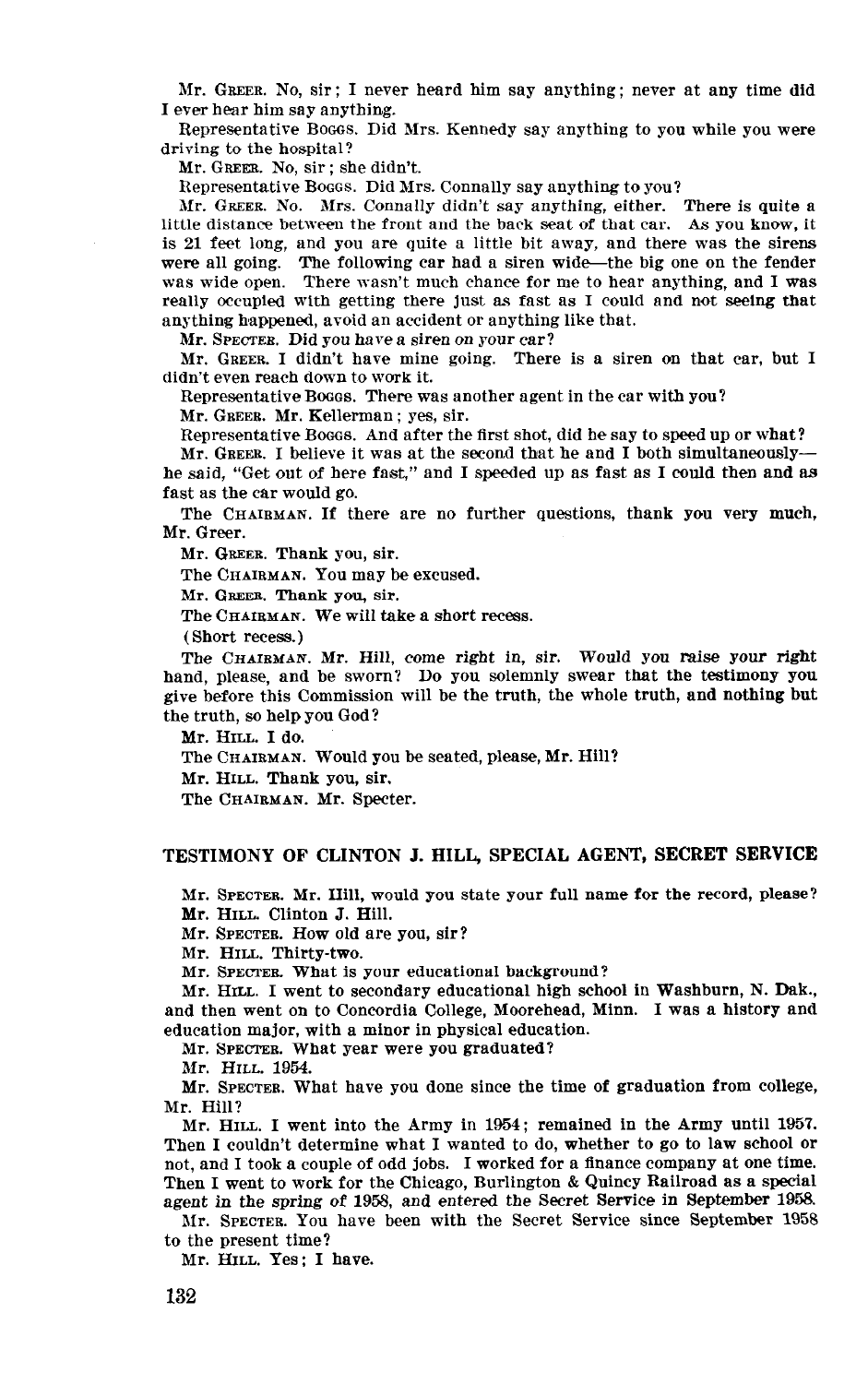Mr. GREER. No, sir ; I never heard him say anything ; never at any time did I ever hear him say anything.

Representative Booos. Did Mrs. Kennedy say anything to you while you were driving to the hospital?

Mr. GREER. No, sir ; she didn't.

Representative BOGGS. Did Mrs. Connally say anything to you?

Mr. GREER. No. Mrs. Connally didn't say anything, either. There is quite a little distance between the front and the back seat of that car. As you know, it is 21 feet long, and you are quite a little bit away, and there was the sirens were all going. The following car had a siren wide—the big one on the fender was wide open. There wasn't much chance for me to hear anything, and I was really occupied with getting there just as fast as I could and not seeing that anything happened, avoid an accident or anything like that.

Mr. SPECTER. Did you have a siren on your car?

Mr. GREER. I didn't have mine going. There is a siren on that car, but I didn't even reach down to work it.

Representative BOGGS. There was another agent in the car with you?

Mr. GREER. Mr. Kellerman ; yes, sir.

Representative Booos. And after the first shot, did he say to speed up or what?

Mr. GREER. I believe it was at the second that he and I both simultaneouslyhe said, "Get out of here fast," and I speeded up as fast as I could then and as fast as the car would go.

The CHAIRMAN. If there are no further questions, thank you very much, Mr. Greer.

Mr. GREER. Thank you, sir.

The CHAIRMAN. You may be excused.

Mr. GREER. Thank you, sir.

The CHAIRMAN. We will take a short recess.

(Short recess.)

The CHAIRMAN. Mr. Hill, come right in, sir. Would you raise your right hand, please, and be sworn? Do you solemnly swear that the testimony you give before this Commission will be the truth, the whole truth, and nothing but the truth, so help you God?

Mr. HILL I do.

The CHAIRMAN. Would you be seated, please, Mr. Hill?

Mr. HILL. Thank you, sir.

The CHAIRMAN. Mr. Specter.

## TESTIMONY OF CLINTON J. HILL, SPECIAL AGENT, SECRET SERVICE

Mr. SPECTER. Mr. Hill, would you state your full name for the record, please? Mr. HILL. Clinton J. Hill.

 $\frac{1}{2}$ MI. SFECIER. HOW

Mr. HILL. Thirty-two.<br>Mr. Spectes. What is your educational background?  $M_{\rm H}$ . Stecher, what is your educational hat  $\log_{10}(n_{\rm H})$ 

and then I went to secondary equivalently ingle school in washout it, i.e. Daw and then went on to Concordia College, Moorehead, Minn. I was a history and education major, with a minor in physical education.

Mr. SPECTER. What year were you graduated?<br>Mr. HILL. 1954.

 $M_r$ . Suite,  $1994$ .

Mr. Hill?  $\mathbf{m}$ . Hill.

 $MT$ ,  $T$  and,  $T$  went into the Almy in  $T_{\text{tot}}$ , remained in the Almy until 1997 Then I couldn't determine what I wanted to do, whether to go to law school or not, and I took a couple of odd jobs. I worked for a finance company at one time. Then I went to work for the Chicago, Burlington & Quincy Railroad as a special agent in the spring of 1958, and entered the Secret Service in September 1958.

Mr. SPECTER. You have been with the Secret Service since September 1958 to the present time?

Mr. HILL. Yes; I have.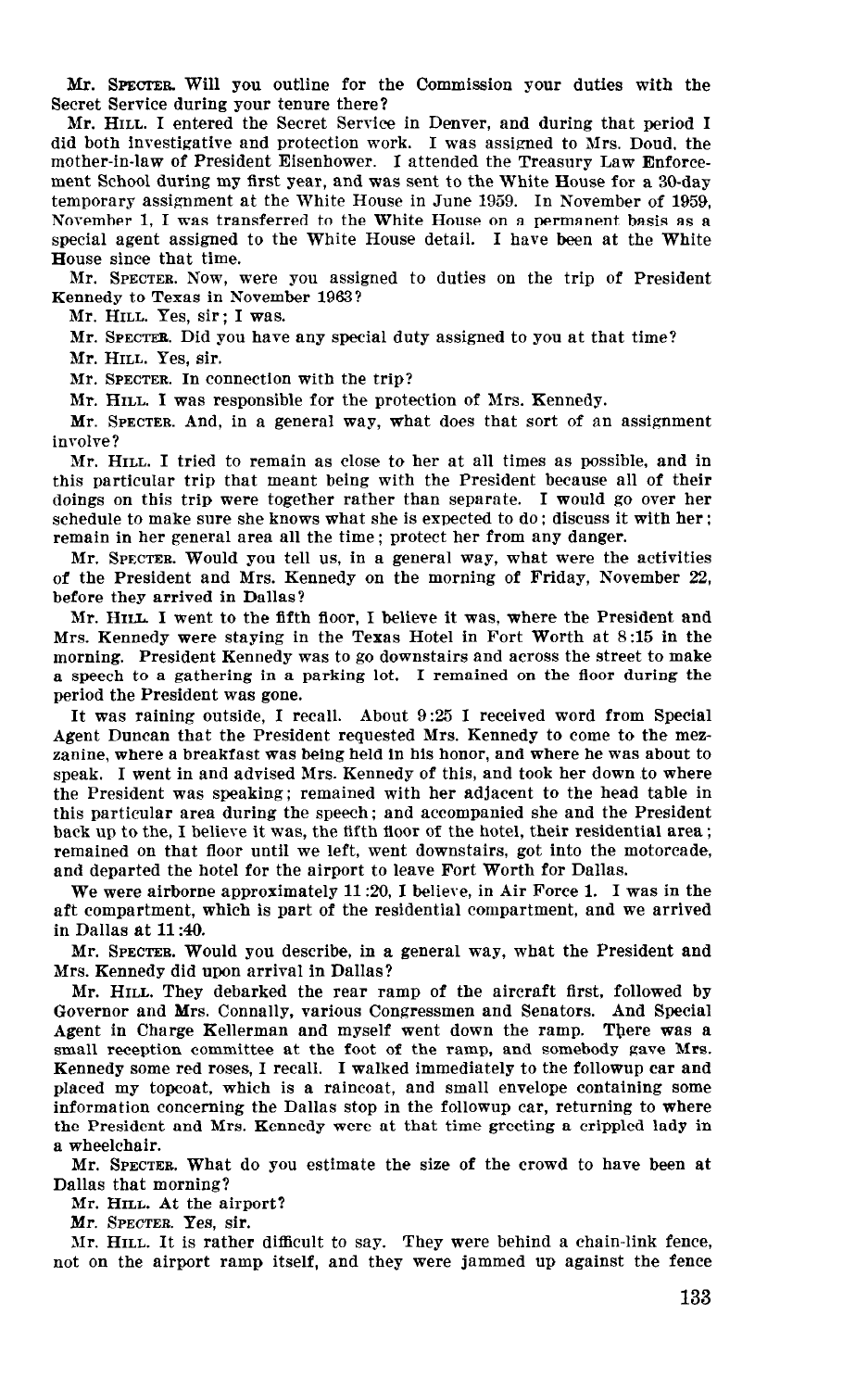Mr. SPECTER. Will you outline for the Commission your duties with the Secret Service during your tenure there?

Mr. HILL. I entered the Secret Service in Denver, and during that period I did both investigative and protection work. I was assigned to Mrs. Doud, the mother-in-law of President Eisenhower. I attended the Treasury Law Enforcement School during my first year, and was sent to the White House for a 39day temporary assignment at the White House in June 1959. In November of 1959, November 1, I was transferred to the White House on a permanent basis as a special agent assigned to the White House detail. I have been at the White House since that time.

Mr. SPECTER. Now, were you assigned to duties on the trip of President Kennedy to Texas in November 1963?

Mr. HILL. Yes, sir; I was.

Mr. SPECTFE. Did you have any special duty assigned to you at that time?

Mr. HILL. Yes, sir.

Mr. SPECTER. In connection with the trip?

Mr. HILL. I was responsible for the protection of Mrs. Kennedy.

Mr. SPECTER. And, in a general way, what does that sort of an assignment involve?

Mr. HILL. I tried to remain as close to her at all times as possible, and in this particular trip that meant being with the President because all of their doings on this trip were together rather than separate. I would go over her schedule to make sure she knows what she is expected to do ; discuss it with her ; remain in her general area all the time; protect her from any danger.

Mr. SPECTER. Would you tell us, in a general way, what were the activities of the President and Mrs. Kennedy on the morning of Friday, November 22, before they arrived in Dallas?

Mr. HILL I went to the fifth floor, I believe it was, where the President and Mrs. Kennedy were staying in the Texas Hotel in Fort Worth at 8:15 in the morning. President Kennedy was to go downstairs and across the street to make a speech to a gathering in a parking lot. I remained on the floor during the period the President was gone.

It was raining outside, I recall. About 9:25 I received word from Special Agent Duncan that the President requested Mrs. Kennedy to come to the mezzanine, where a breakfast was being held in his honor, and where he was about to samme, where a preasure was being near this speak of the down to where the speak of the state of the state of the state of the state of the state of the state of the state of the state of the state of the state of the stat  $t_{\rm F}$  the President was speaking; remaining with  $t_{\rm F}$  and took her above it to the in the President was speaking; remained with her adjacent to the head table in this particular area during the speech; and accompanied she and the President back up to the, I believe it was, the fifth floor of the hotel, their residential area; remained on that floor until we left, went downstairs, got into the motorcade, and departed the hotel for the airport to leave Fort Worth for Dallas. We we parted the noter for the amport to fear Fort world for Banas.

we were affluorne approximately  $11.20$ ,  $1$  befieve, in All Futch 1. I was in the aft compartment, which is part of the residential compartment, and we arrived in Dallas at 11:40.  $\nu$  section  $\mathcal{L}$ . We describe the President and what the President and We describe and  $\mathcal{L}$ 

 $M_r$ . SPECTER. WOULD you describe, in Mrs. Kennedy did upon arrival in Dallas?

Mr. HILL. They debarked the rear ramp of the aircraft first, followed by Governor and Mrs. Connally, various Congressmen and Senators. And Special Agent in Charge Kellerman and myself went down the ramp. There was a small reception committee at the foot of the ramp, and somebody gave Mrs. Kennedy some red roses, I recall. I walked immediately to the followup car and placed my topcoat, which is a raincoat, and small envelope containing some information concerning the Dallas stop in the followup car, returning to where the President and Mrs. Kennedy were at that time greeting a crippled lady in a wheelchair.  $\mathbf w$  heelchair. What do you estimate the size of the size of the size of the crowd to have been at  $\mathbf w$ 

Mr. SPECTER. What do you estimate the size of the crowd to have been at Dallas that morning?

Mr. HILL. At the airport?

Mr. SPECTER. Yes, sir.

Mr. HILL. It is rather difficult to say. They were behind a chain-link fence, not on the airport ramp itself, and they were jammed up against the fence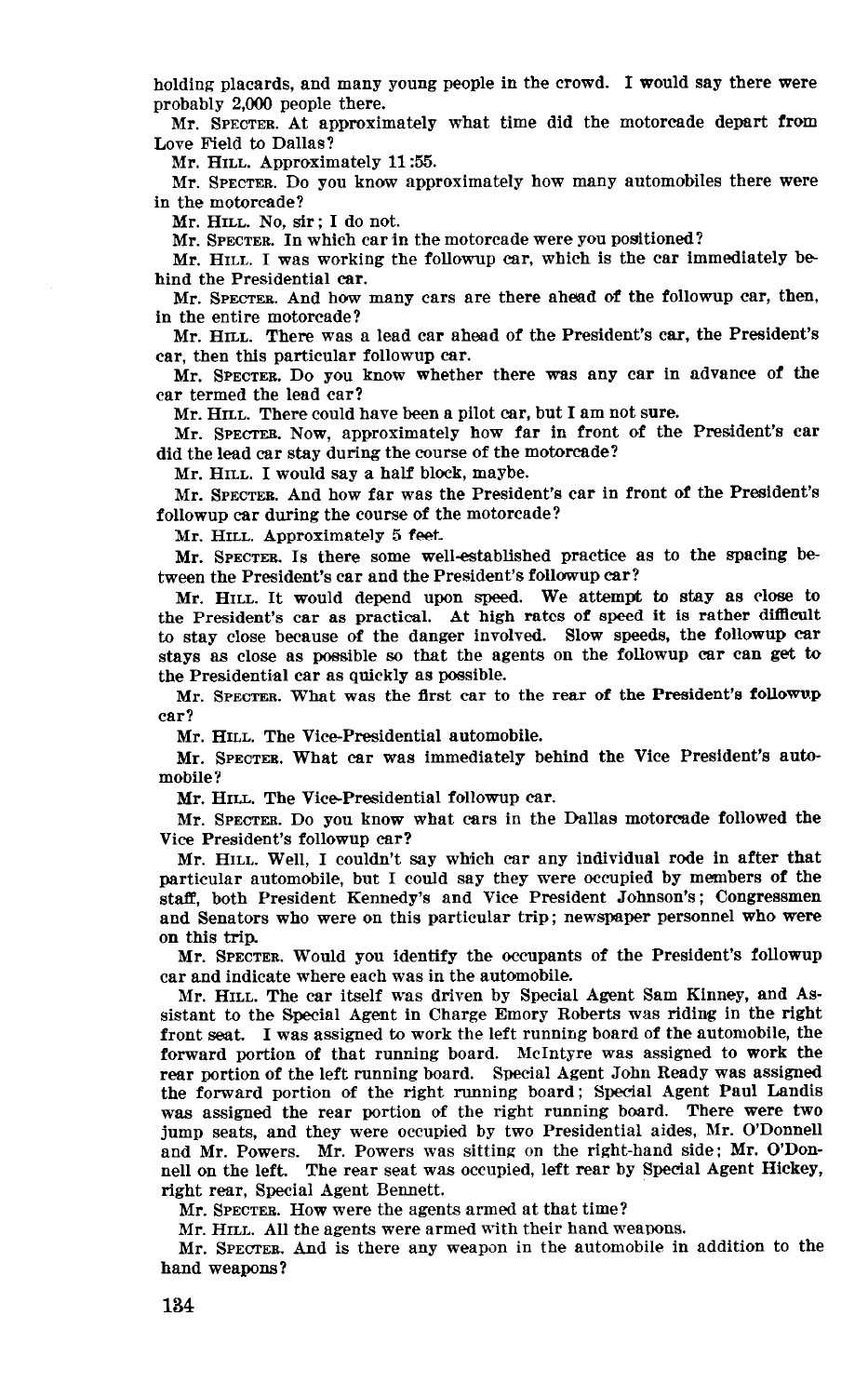holding placards, and many young people in the crowd. I would say there were probably 2,000 people there.

Mr. SPECTER. At approximately what time did the motorcade depart from Love Field to Dallas?

Mr. HILL. Approximately 11:55.

Mr. SPECTER. Do you know approximately how many automobiles there were in the motorcade?

Mr. HILL. No, sir; I do not.

Mr. SPECTER. In which car in the motorcade were you positioned?

Mr. HILL. I was working the followup car, which is the car immediately be hind the Presidential car.

Mr. SPECTEB. And how many cars are there ahead of the followup car, then, in the entire motorcade?

Mr. HILL. There was a lead car ahead of the President's car, the President's car, then this particular followup car.

Mr. SPECTEB. Do you know whether there was any car in advance of the car termed the lead car?

Mr. HILL. There could have been a pilot car, but I am not sure.

Mr. SPECTER. Now, approximately how far in front of the President's car did the lead car stay during the course of the motorcade?

Mr. HILL. I would say a half block, maybe.

Mr. SPECTEB. And how far was the President's car in front of the President's followup car during the course of the motorcade?

Mr. HILL. Approximately 5 feet.

Mr. SPECTEB. Is there some well-established practice as to the spacing be tween the President's car and the President's followup car?

Mr. HILL. It would depend upon speed. We attempt to stay as close to the President's car as practical. At high rates of speed it is rather difilcult to stay close because of the danger involved. Slow speeds, the followup car stays as close as possible so that the agents on the followup car can get to the Presidential car as quickly as possible.

Mr. SPECTER. What was the flrst car to the rear of the President's followup car?

Mr. HILL. The Vice-Presidential automobile.

Mr. SPECTEB. What car was immediately behind the Vice President's automobile?

Mr. HILL. The Vice-Presidential followup car.

Mr. SPECTEB. Do you know what cars in the Dallas motorcade followed the Vice President's followup car?

Mr. HILL. Well, I couldn't say which car any individual rode in after that particular automobile, but I could say they were occupied by members of the staff, both President Kennedy's and Vice President Johnson's; Congressmen and Senators who were on this particular trip; newspaper personnel who were on this trip.

Mr. SPECTER. Would you identify the occupants of the President's followup car and indicate where each was in the automobile.

Mr. HILL. The car itself was driven by Special Agent Sam Kinney, and Assistant to the Special Agent in Charge Emory Roberts was riding in the right front seat. I was assigned to work the left running board of the automobile, the from sea. I was assigned to work the relation of the angle of the angle that run  $\mu$ reference portion of that running board. Specific was assigned to work the rear portion of the left running board. Special Agent John Ready was assigned the forward portion of the right running board; Special Agent Paul Landis the forward portion of the right running board, special right radio parties was assigned the rear portion of the right funning board. There were two jump seats, and they were occupied by two Presidential aides, Mr. O'Donnell and Mr. Powers. Mr. Powers was sitting on the right-hand side; Mr. O'Donnell on the left. The rear seat was occupied, left rear by Special Agent Hickey, right rear, Special Agent Bennett.

Mr. SPECTER. How were the agents armed at that time?<br>Mr. HILL. All the agents were armed with their hand weapons.  $\overline{M}$ r. HILL. And the agents were armed with their hand weapons.

mr. SPECTER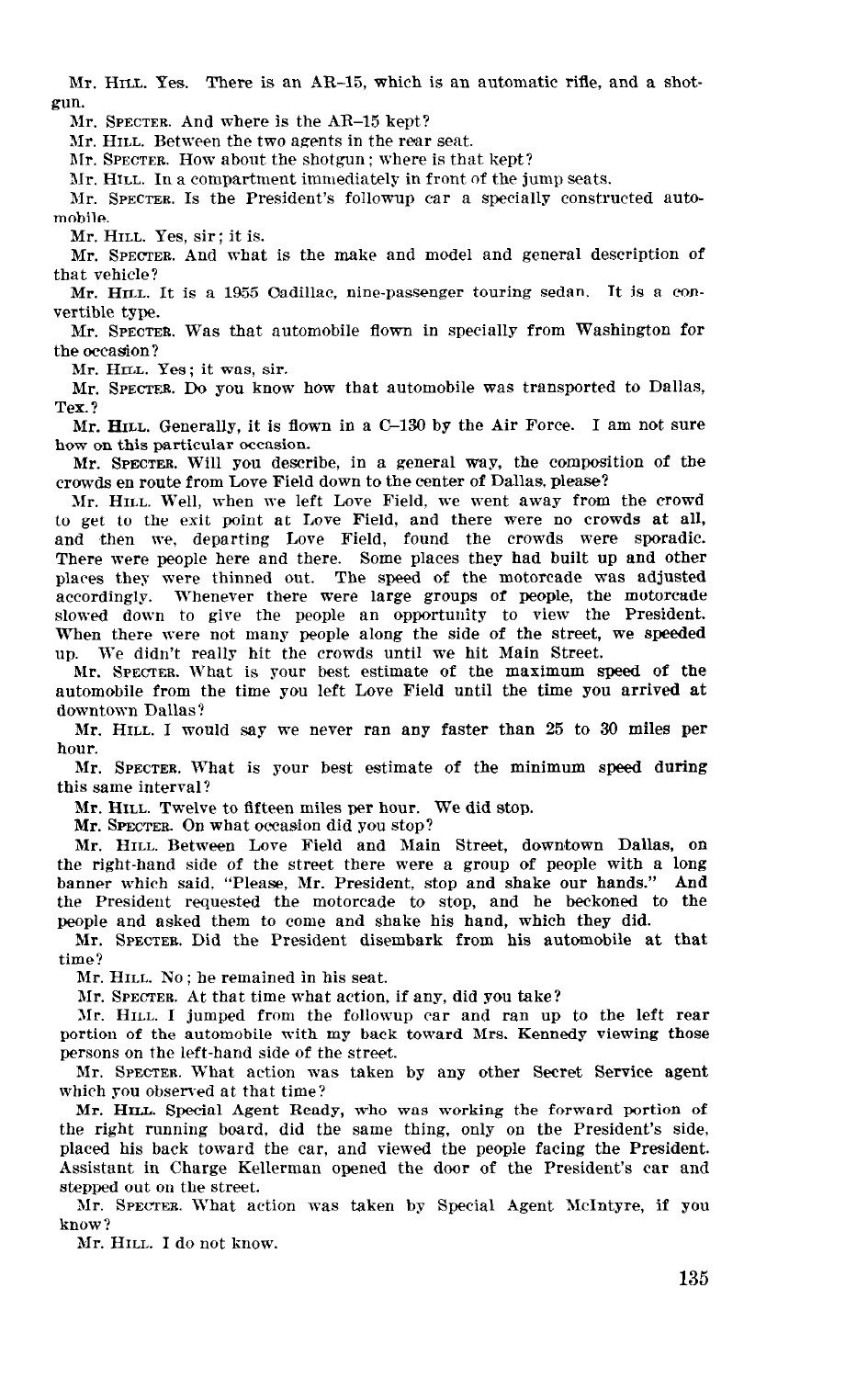Mr. HILL. Yes. There is an AR-15, which is an automatic rifle, and a shotgun.

Mr. SPECTER. And where is the AR-15 kept?

Mr. HILL. Between the two agents in the rear seat.

Mr. SPECTER. How about the shotgun ; where is that kept?

31r. HILL. In a compartment immediately in front of the jump seats.

Mr. SPECTER. Is the President's followup car a specially constructed automobile.

Mr. HILL. Yes, sir; it is.

Mr. SPECTER. And what is the make and model and general description of that vehicle?

Mr. HILL. It is a 1955 Cadillac, nine-passenger touring sedan. It is a convertible type.

Mr. SPECTER. Was that automobile flown in specially from Washington for the occasion?

Mr. HILL. Yes; it was, sir.

Mr. SPECTER. Do you know how that automobile was transported to Dallas, Tex. ?

Mr. HILL. Generally, it is flown in a C-130 by the Air Force. I am not sure how on this particular occasion.

Mr. SPECTER. Will you describe, in a general way, the composition of the crowds en route from Love Field down to the center of Dallas. please?

Mr. HILL. Well, when we left Love Field, we went away from the crowd to get to the exit point at Love Field, and there were no crowds at all, and then we, departing Love Field, found the crowds were sporadic. There were people here and there. Some places they had built up and other plares they were thinned out. The speed of the motorcade was adjusted accordingly. Whenever there were large groups of people, the motorcade slowed down to give the people an opportunity to view the President. When there were not many people along the side of the street, we speeded up. We didn't really hit the crowds until we hit Main Street.

Mr. SPECTER. What is your best estimate of the maximum speed of the automobile from the time you left Love Field until the time you arrived at downtown Dallas?

Mr. HILL. I would say we never ran any faster than 25 to 30 miles per hour.

Mr. SPECTER. What is your best estimate of the minimum speed during this same interval?

Mr. HILL. Twelve to fifteen miles per hour. We did stop.

Mr. SPECTER. On what occasion did you stop?

 $\mathcal{L} = \mathcal{L} \mathcal{L} = \mathcal{L} \mathcal{L}$ the right-hand side of the street there were a group of personal street, where we are a group of people with a long of the right-hand side of the street there were a group of people with a long banner which said, "Please, Mr. President, stop and shake our hands." And the President requested the motorcade to stop, and he beckoned to the people and asked them to come and shake his hand, which they did. opie and asked them to come and spake his hand, which they did.

time? Mr. HILL. No ; he remained in his seat.

 $M<sub>II</sub>$ ,  $M<sub>II</sub>$ ,  $M<sub>II</sub>$ ,  $M<sub>II</sub>$ ,  $M<sub>II</sub>$ , and  $M<sub>II</sub>$ , and  $M<sub>II</sub>$ ,  $M<sub>II</sub>$ ,  $M<sub>II</sub>$ ,  $M<sub>II</sub>$ ,  $M<sub>II</sub>$ ,  $M<sub>II</sub>$ ,  $M<sub>II</sub>$ ,  $M<sub>II</sub>$ ,  $M<sub>II</sub>$ ,  $M<sub>II</sub>$ ,  $M<sub>II</sub>$ ,  $M<sub>II</sub>$ 

Mr. SPECTER. At that time what action, if any, did you take?

Mr. HILL. I jumped from the followup car and ran up to the left rear portion of the automobile with my back toward Mrs. Kennedy viewing those persons on the left-hand side of the street.

Mr. SPECTER. What action was taken by any other Secret Service agent which you observed at that time?

Mr. HILL. Special Agent Ready, who was working the forward portion of the right running board, did the same thing, only on the President's side, placed his back toward the car, and viewed the people facing the President. Assistant in Charge Kellerman opened the door of the President's car and stepped out on the street.

Mr. SPECTER. What action was taken by Special Agent McIntyre, if you know?

Mr. HILL. I do not know.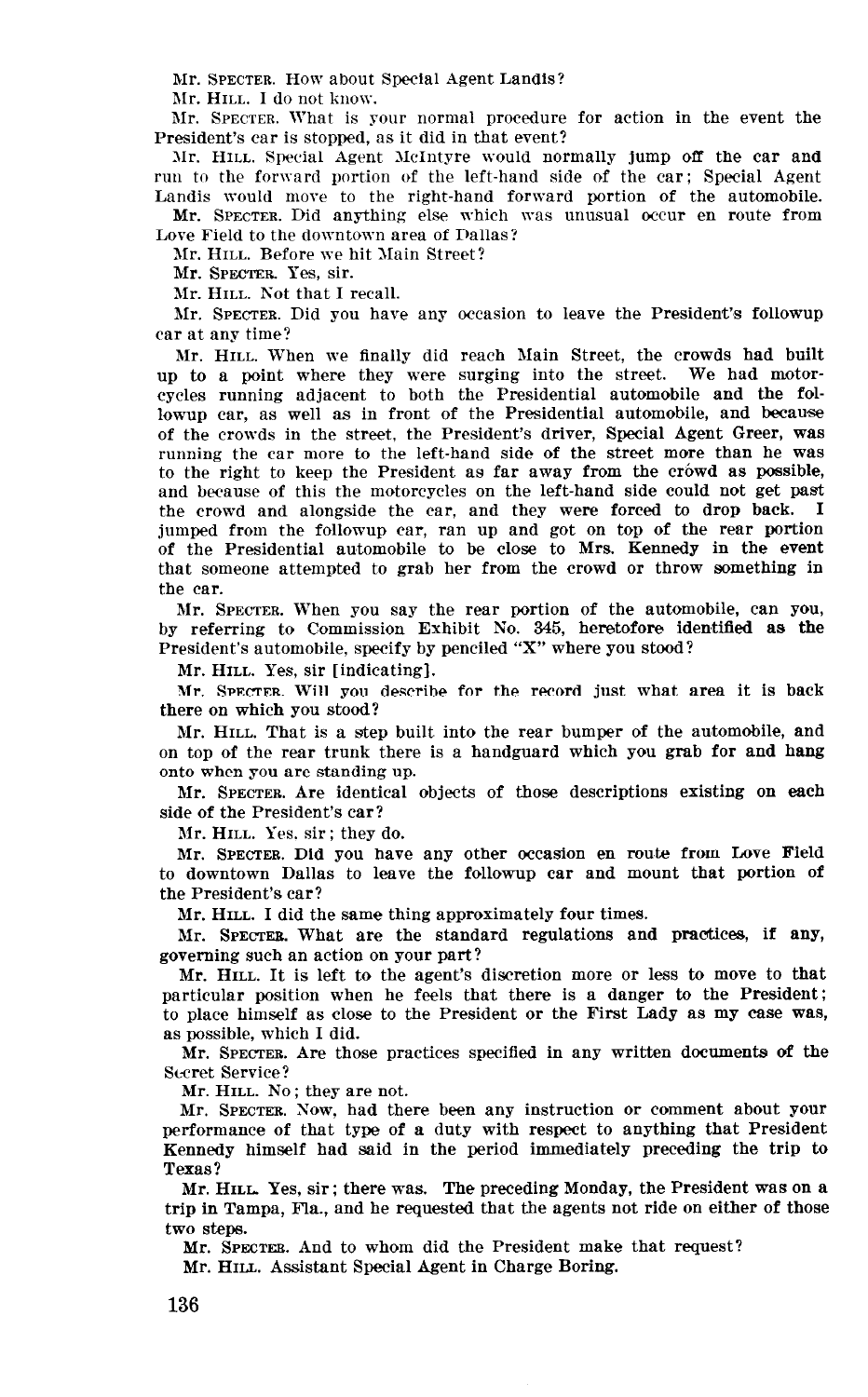Mr. SPECTER. How about Special Agent Landis?

Mr. HILL. I do not know.

Mr. SPECTER. What is your normal procedure for action in the event the President's car is stopped, as it did in that event?

Mr. HILL. Special Agent McIntyre would normally jump off the car and run to the forward portion of the left-hand side of the car; Special Agent Landis would move to the right-hand forward portion of the automobile.

Mr. SPECTER. Did anything else which was unusual occur en route from Love Field to the downtown area of Dallas?

Mr. HILL. Before we hit Main Street?

Mr. SPECTER. Yes, sir.

Mr. HILL. Not that I recall.

Mr. SPECTER. Did you have any occasion to leave the President's followup car at any time?

Mr. HILL. When we finally did reach Main Street, the crowds had built up to a point where they were surging into the street. We had motorcycles running adjacent to both the Presidential automobile and the followup car, as well as in front of the Presidential automobile, and because of the crowds in the street, the President's driver, Special Agent Greer, was running the car more to the left-hand side of the street more than he was to the right to keep the President as far away from the crówd as possible, and because of this the motorcycles on the left-hand side could not get past the crowd and alongside the car, and they were forced to drop back. I jumped from the followup car, ran up and got on top of the rear portion of the Presidential automobile to be close to Mrs. Kennedy in the event that someone attempted to grab her from the crowd or throw something in the car.

hlr. SPECTER. When you say the rear portion of the automobile, can YOU, by referring to Commission Exhibit No. 345, heretofore identified as the President's automobile, specify by penciled "X" where you stood?

Mr. HILL. Yes, sir [indicating].

Mr. SPECTER. Will you describe for the record just what area it is back there on which you stood?

Mr. HILL. That is a step built into the rear bumper of the automobile, and on top of the rear trunk there is a handguard which you grab for and hang onto when you are standing up.

Mr. SPECTER. Are identical objects of those descriptions existing on each side of the President's car?

Mr. HILL. Yes. sir ; they do.

Mr. SPECTER. Did you have any other occasion en route from Love Field to downtown Dallas to leave the followup car and mount that portion of the President's car?

Mr. HILL. I did the same thing approximately four times.

Mr. SPECTEB. What are the standard regulations and practices, if any, governing such an action on your part?

Mr. HILL. It is left to the agent's discretion more or less to move to that particular position when he feels that the feeling the press to move to the  $particular$  position when he reefs that there is a danger  $\omega$  the Fresident, to place himself as close to the President or the First Lady as my case was, as possible, which I did. possible, which I did.  $\mathcal{L}(\mathbf{z}, \mathbf{z}) = \mathcal{L}(\mathbf{z}, \mathbf{z})$ 

MIT. SPECTER. Sccret Service?<br>Mr. HILL. No : they are not.

 $Mr$ . Hill.  $N0$ ; they are not.

Mr. SPECTER. Now, had there been any instruction or comment about you performance of that type of a duty with respect to anything that President Kennedy himself had said in the period immediately preceding the trip to Texas?  $MMS$  , there was no according  $MMS$  is the preceding Monday, the preceding  $MMS$ 

Mr. HILL Yes, sir; there was. The preceding monday, the President was on a trip in Tampa, Fla., and he requested that the agents not ride on either of those  $\overline{N}$  steps. And the President make that requested make that requested make that requested make that requested make that requested make the President make that requested make the President make that  $\overline{N}$ 

Mr. SPECTER. And to whom did the President mak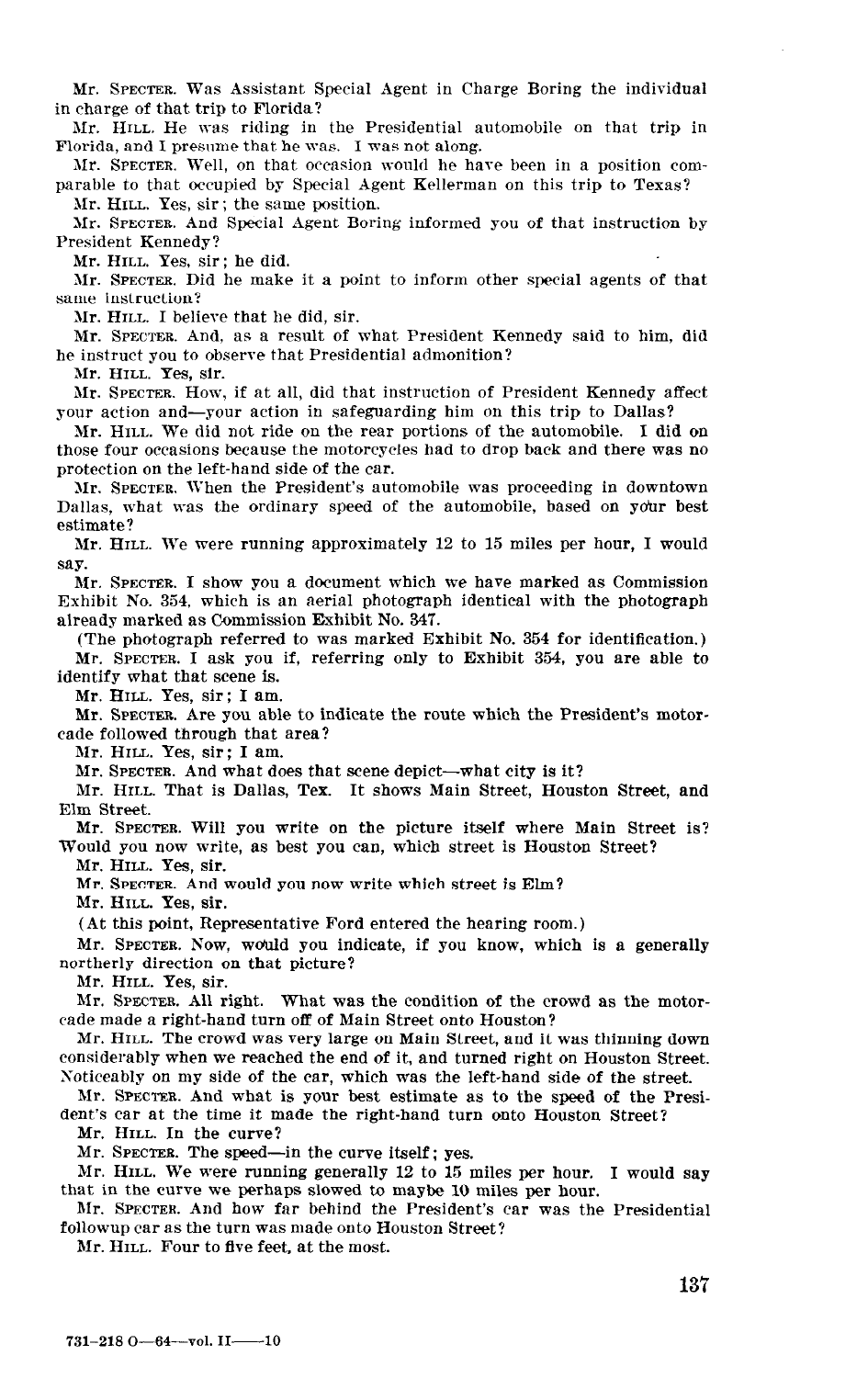Mr. SPECTER. Was Assistant Special Agent in Charge Boring the individual in charge of that trip to Florida?

Mr. HILL. He was riding in the Presidential automobile on that trip in Florida, and I presume that he was. I was not along.

Mr. SPECTER. Well, on that occasion would he have been in a position comparable to that occupied by Special Agent Kellerman on this trip to Texas?

Mr. HILL. Yes, sir ; the same position.

Mr. SPECTER. And Special Agent Boring informed you of that instruction by President Kennedy?

Mr. HILL. Yes, sir; he did.

Mr. SPECTER. Did he make it a point to inform other special agents of that same instruction?

Mr. HILL. I believe that he did, sir.

Mr. SPECTER. And, as a result of what President Kennedy said to him, did he instruct you to observe that Presidential admonition?

Mr. HILL. Yes, sir.

Ur. SPECTER. How, if at all, did that instruction of President Kennedy affect your action and-your action in safeguarding him on this trip to Dallas?

Mr. HILL. We did not ride on the rear portions of the automobile. I did on those four occasions because the motorcycles had to drop back and there was no protection on the left-hand side of the car.

Mr. SPECTER. When the President's automobile was proceeding in downtown Dallas, what was the ordinary speed of the automobile, based on ydur best estimate?

Mr. HILL. We were running approximately 12 to 15 miles per hour, I would say.

Mr. SPECTER. I show you a document which we have marked as Commission Exhibit No. 354, which is an aerial photograph identical with the photograph already marked as Commission Exhibit No. 347.

(The photograph referred to was marked Exhibit No. 354 for identification.) Mr. SPECTER. I ask you if, referring only to Exhibit 354, you are able to identify what that scene is.

Mr. HILL. Yes, sir; I am.

Mr. SPECTER. Are you able to indicate the route which the President's motorcade followed through that area?

Mr. HILL. Yes, sir; I am.

Mr. SPECTER. And what does that scene depict-what city is it?

Mr. HILL. That is Dallas, Tex. It shows Main Street, Houston Street, and Elm Street.

Mr. SPECTER. Will you write on the picture itself where Main Street is? Would you now write, as best you can, which street is Houston Street?

Mr. HILL. Yes, sir.

Mr. SPECTER. And would you now write which street is Elm?  $\frac{1}{2}$ 

Mr. Hull. Yes, sir.<br>(At this point, Representative Ford entered the hearing room.)  $\mathcal{M}$  spectrum indicate, if you indicate, if you know, which is a general line  $\mathcal{M}$  and  $\mathcal{M}$ 

nii. Stecten. Tow, would you northerly direction on that picture?<br>Mr. HILL. Yes, sir.

 $M<sub>1</sub>$ ,  $M<sub>2</sub>$ ,  $M<sub>3</sub>$ ,  $M<sub>1</sub>$ ,  $M<sub>2</sub>$ ,  $M<sub>3</sub>$ ,  $M<sub>4</sub>$ ,  $M<sub>5</sub>$ ,  $M<sub>7</sub>$ ,  $M<sub>8</sub>$ ,  $M<sub>9</sub>$ ,  $M<sub>1</sub>$ ,  $M<sub>1</sub>$ ,  $M<sub>1</sub>$ ,  $M<sub>1</sub>$ ,  $M<sub>1</sub>$ ,  $M<sub>1</sub>$ ,  $M<sub>1</sub>$ ,  $M$ 

made made a right-band was the condition of the cade made a right-hand turn off of Main Street onto Houston?

Mr. HILL. The crowd was very large on Main Street, and it was thinning down considerably when we reached the end of it, and turned right on Houston Street. Noticeably on my side of the car, which was the left-hand side of the street.

Mr. SPECTER. And what is your best estimate as to the speed of the President's car at the time it made the right-hand turn onto Houston Street?

Mr. HILL. In the curve?

Mr. SPECTER. The speed—in the curve itself; yes.

Mr. HILL. We were running generally 12 to 15 miles per hour. I would say that in the curve we perhaps slowed to maybe 10 miles per hour.

Mr. SPECTER. And how far behind the President's car was the Presidential followup car as the turn was made onto Houston Street?<br>Mr. HILL. Four to five feet, at the most.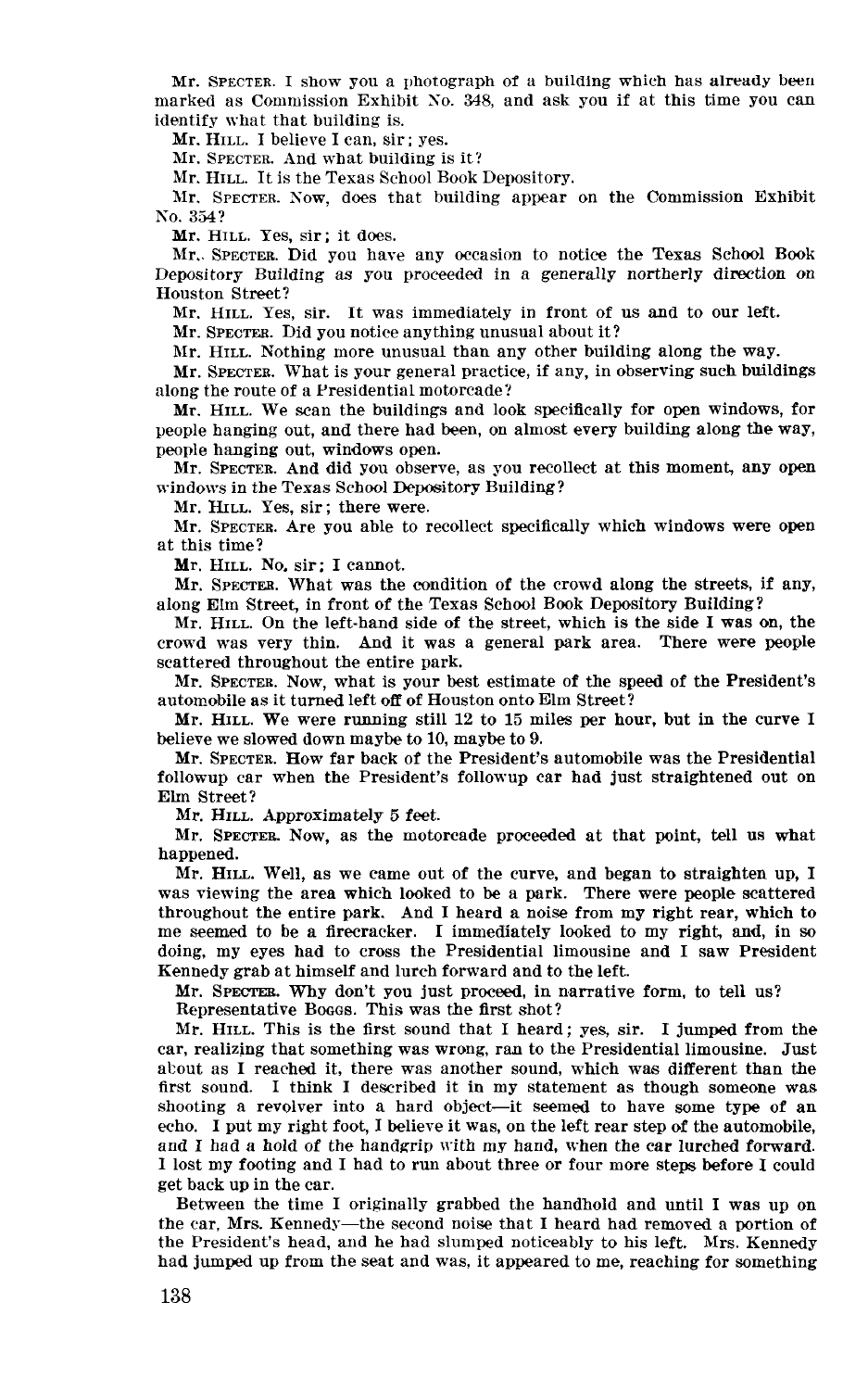Mr. SPECTER. I show you a photograph of a building which has already been marked as Commission Exhibit So. 348, and ask you if at this time you can identify what that building is.

Mr. HILL. I believe I can, sir; yes.

Mr. SPECTER. And what building is it?

Mr. HILL. It is the Texas School Book Depository.

Mr. SPECTER. Sow, does that building appear on the Commission Exhibit No. 354?

Mr. HILL. Yes, sir; it does.

Mr.. SPECTER. Did you have any occasion to notice the Texas School Book Depository Building as you proceeded in a generally northerly direction on Houston Street?

Mr. HILL. Yes, sir. It was immediately in front of us and to our left.

Mr. SPECTEB. Did you notice anything unusual about it?

Mr. HILL. Nothing more unusual than any other building along the way.

Mr. SPECTER. What is your general practice, if any, in observing such buildings along the route of a Presidential motorcade?

Mr. HILL. We scan the buildings and look specifically for open windows, for people hanging out, and there had been, on almost every building along the way, people hanging out, windows open.

Mr. SPECTER. And did you observe, as you recollect at this moment, any open windows in the Texas School Depository Building?

Mr. HILL. Yes, sir; there were.

Mr. SPECTER. Are you able to recollect specifically which windows were open at this time?

Mr. HILL. No, sir; I cannot.

Mr. SPECTER. What was the condition of the crowd along the streets, if any, along Elm Street, in front of the Texas School Book Depository Building?

Mr. HILL. On the left-hand side of the street, which is the side I was on, the crowd was very thin. And it was a general park area. There were people scattered throughout the entire park.

Mr. SPECTER. Now, what is your best estimate of the speed of the President's automobile as it turned left off of Houston onto Elm Street?

Mr. HILL. We were running still 12 to 15 miles per hour, but in the curve I believe we slowed down maybe to 10, maybe to 9.

Mr. SPECTER. How far back of the President's automobile was the Presidential followup car when the President's followup car had just straightened out on Elm Street?

Mr. HILL. Approximately 5 feet.

Mr. SPECTEB. Now, as the motorcade proceeded at that point, tell us what happened.  $M_{\rm H}$  . Hence, as we can expect of the curve, and began to straight experimental to straight to straight experimental to straight the curve, and began to straight the curve, and began to straight the curve of the curve

was arrive went, as we came out of the curve, and began to straighten up was viewing the area which looked to be a park. There were people scattered throughout the entire park. And I heard a noise from my right rear, which to me seemed to be a Erecracker. I immediately looked to my right, and, in so do in the second to complete the Presidential limited and I saw Presidential limited and I saw Presidential lim doing, my eyes had to cross the residential inhousing Kennedy grab at himself and lurch forward and to the left.

Mr. SPECTER. Why don't you just proceed, in narrative form, to tell us?<br>Representative Boggs. This was the first shot?

 $\mu_{\rm c}$  regions that  $\mu_{\rm c}$  is the  $\mu_{\rm s}$  since  $\mu_{\rm c}$  is since the since the since  $\mu_{\rm c}$ 

m. realizing that some that some was well as we have the Presidential limits in the Presidential limits is the Presidential limits of the Presidential limits in the Presidential limits of the Presidential limits of the Pre car, realizing that something was wrong, ran to the Presidential limousine. Just about as I reached it, there was another sound, which was different than the first sound. I think I described it in my statement as though someone was shooting a revolver into a hard object-it seemed to have some type of an echo. I put my right foot. I believe it was, on the left rear step of the automobile. and I had a hold of the handerip with my hand, when the car lurched forward. I lost my footing and I had to run about three or four more steps before I could get back up in the car.

Between the time I originally grabbed the handhold and until I was up on the car. Mrs. Kennedy—the second noise that I heard had removed a portion of the President's head, and he had slumped noticeably to his left. Mrs. Kennedy had jumped up from the seat and was, it appeared to me, reaching for something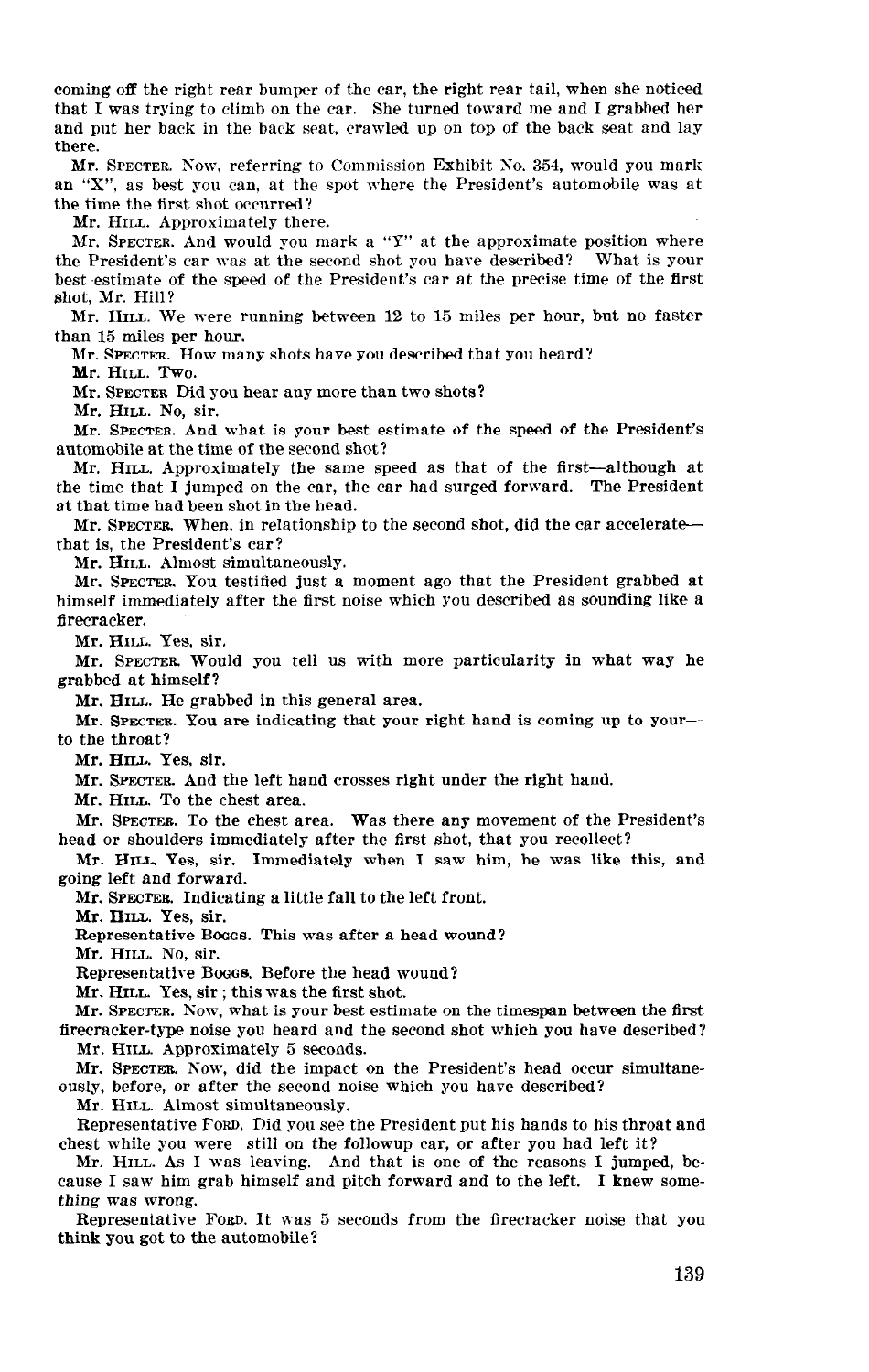coming off the right rear bumper of the car, the right rear tail, when she noticed that I was trying to climb on the car. She turned toward me and I grabbed her and put her back in the back seat, crawled up on top of the back seat and lay there.

Mr. SPECTER. Now, referring to Commission Exhibit So. 354, would you mark an "X", as best you can, at the spot where the President's automobile was at the time the first shot occurred?

Mr. HILL. Approximately there.

Mr. SPECTER. And would you mark a "Y" at the approximate position where the President's car was at the second shot you have described? What is your best estimate of the speed of the President's car at the precise time of the first shot, Mr. Hill?

Mr. HILL. We were running between 12 to 15 miles per hour, but no faster than 15 miles per hour.

Mr. SPECTER. How many shots have you described that you heard?

Mr. HILL. Two.

Mr. SPECTER Did you hear any more than two shots?

Mr. HILL. No, sir.

Mr. SPECTER. And what is your best estimate of the speed of the President's automobile at the time of the second shot?

Mr. HILL. Approximately the same speed as that of the first-although at the time that I jumped on the car, the car had surged forward. The President at that time had been shot in the head.

Mr. SPECTER. When, in relationship to the second shot, did the car acceleratethat is, the President's car?

Mr. HILL. Almost simultaneously.

Mr. SPECTER. You testified just a moment ago that the President grabbed at himself immediately after the first noise which you described as sounding like a firecracker.

Mr. HILL. Yes, sir.

Mr. SPECTER. Would you tell us with more particularity in what way he grabbed at himself?

Mr. HILL. He grabbed in this general area.

Mr. SPECTER. You are indicating that your right hand is coming up to yourto the throat?

Mr. HILL. Yes, sir.

Mr. SPECTEB. And the left hand crosses right under the right hand.

Mr. HILL. To the chest area.

Mr. SPECTER. To the chest area. Was there any movement of the President's head or shoulders immediately after the first shot, that you recollect?

Mr. HILL. Yes, sir. Immediately when I saw him, he was like this, and going left and forward.

Mr. SPECTER. Indicating a little fall to the left front.

Mr. HILL. Yes, sir.

Representative Booos. This was after a head wound?

Mr. HILL. No, sir.

Representative Boogs. Before the head wound?

Mr. HILL Yes, sir ; this was the first shot.

Mr. SPECTER. Now, what is your best estimate on the timespan between the first firecracker-type noise you heard and the second shot which you have described? Mr. HILL. Approximately 5 seconds.

Mr. SPECTER. Now, did the impact on the President's head occur simultaneously, before, or after the second noise which you have described?

Mr. HILL. Almost simultaneously.

Representative FORD. Did you see the President put his hands to his throat and chest while you were still on the followup car, or after you had left it?

Mr. HILL. As I was leaving. And that is one of the reasons I jumped, because I saw him grab himself and pitch forward and to the left. I knew something was wrong.

Representative FORD. It was 5 seconds from the firecracker noise that you think you got to the automobile?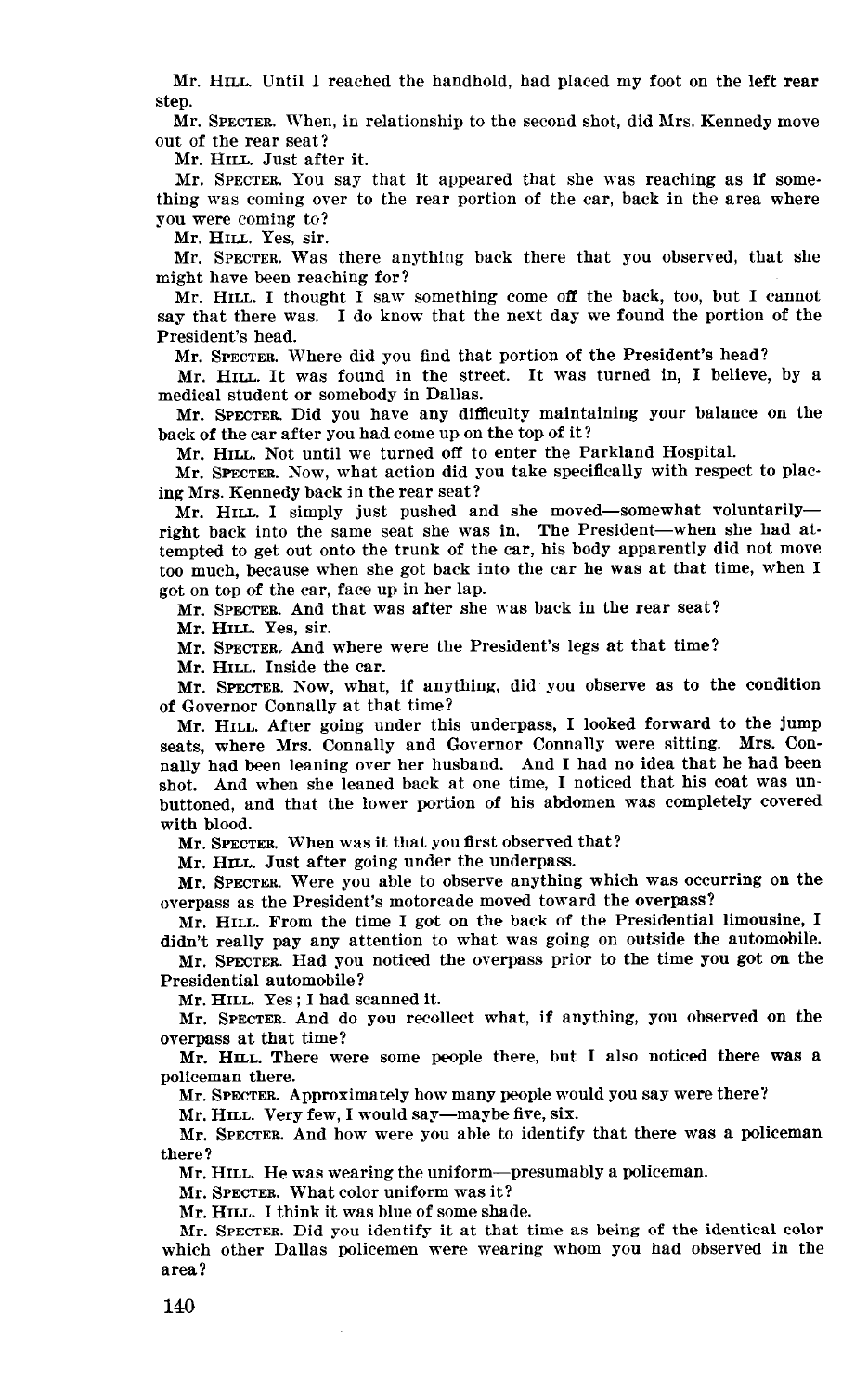Mr. HILL. Until I reached the handhold, had placed my foot on the left rear step.

Mr. SPECTER. When, in relationship to the second shot, did Mrs. Kennedy move out of the rear seat?

Mr. HILL. Just after it.

Mr. SPECTER. You say that it appeared that she was reaching as if something was coming over to the rear portion of the car, back in the area where you were coming to?

Mr. HILL. Yes, sir.

Mr. SPECTER. Was there anything back there that you observed, that she might have been reaching for?

Mr. HILL. I thought I saw something come off the back, too, but I cannot say that there was. I do know that the next day we found the portion of the President's head.

Mr. SPECTER. Where did you find that portion of the President's head?

Mr. HILL. It was found in the street. It was turned in, I believe, by a medical student or somebody in Dallas.

Mr. SPECTER. Did you have any difficulty maintaining your balance on the back of the car after you had come up on the top of it?

Mr. HILL. Not until we turned off to enter the Parkland Hospital.

Mr. SPECTER. Now, what action did you take specifically with respect to placing Mrs. Kennedy back in the rear seat?

Mr. HILL. I simply just pushed and she moved-somewhat voluntarilyright back into the same seat she was in. The President-when she had attempted to get out onto the trunk of the car, his body apparently did not move too much, because when she got back into the car he was at that time, when I got on top of the car, face up in her lap.

Mr. SPECTER And that was after she was back in the rear seat?

Mr. HILL. Yes, sir.

Mr. SPECTER, And where were the President's legs at that time?

Mr. HILL. Inside the car.

Mr. SPECTER. Now, what, if anything, did you observe as to the condition of Governor Connally at that time?

Mr. HILL. After going under this underpass, I looked forward to the jump seats, where Mrs. Connally and Governor Connally were sitting. Mrs. Connally had been leaning over her husband. And I had no idea that he had been shot. And when she leaned back at one time, I noticed that his coat was unbuttoned, and that the lower portion of his abdomen was completely COVered with blood.

Mr. SPECTER. When was it that you first observed that?

Mr. HILL. Just after going under the underpass.

Mr. SPECTER. Were you able to observe anything which was occurring on the overpass as the President's motorcade moved toward the overpass?

Mr. HILL. Prom the time I got on the back of the Presidential limousine, I didn't really pay any attention to what was going on outside the automobile.

Mr. SPECTER. Had you noticed the overpass prior to the time you got on the Presidential automobile?

Mr. HILL. Yes ; I had scanned it.

Mr. SPECTER. And do you recollect what, if anything, you observed on the overpass at that time?

 $\mathcal{L}$  and  $\mathcal{L}$  are some people there were some people there was also noticed there was a noticed there was a subset of  $\mathcal{L}$ police manual  $m_{\rm c}$  spectrum many people would you say were there.

Mr. HILL. Very few, I would say-maybe five, six.

Mr. HILL. Very few, I would say—maybe five, six.

Mr. SPECTER. And how were you able to identify that there was a policeman there? Mr. HILL. He was wearing the uniform-presumably a policeman.

mr. Inch. The was weating the uniform

Mr. SPECTER. What color uniform was it?<br>Mr. HILL. I think it was blue of some shade.

 $M<sub>1</sub>$ ,  $M<sub>2</sub>$ ,  $M<sub>1</sub>$ ,  $M<sub>1</sub>$ ,  $M<sub>2</sub>$ ,  $M<sub>3</sub>$ ,  $M<sub>4</sub>$ ,  $M<sub>5</sub>$ ,  $M<sub>6</sub>$ ,  $M<sub>7</sub>$ ,  $M<sub>8</sub>$ ,  $M<sub>9</sub>$ ,  $M<sub>1</sub>$ ,  $M<sub>1</sub>$ ,  $M<sub>1</sub>$ ,  $M<sub>1</sub>$ ,  $M<sub>1</sub>$ ,  $M<sub>1</sub>$ ,  $M$ 

which other Dallas policements in an unantume as being of the nucleus conditions which other Dallas policemen were wearing whom you had observed in the area?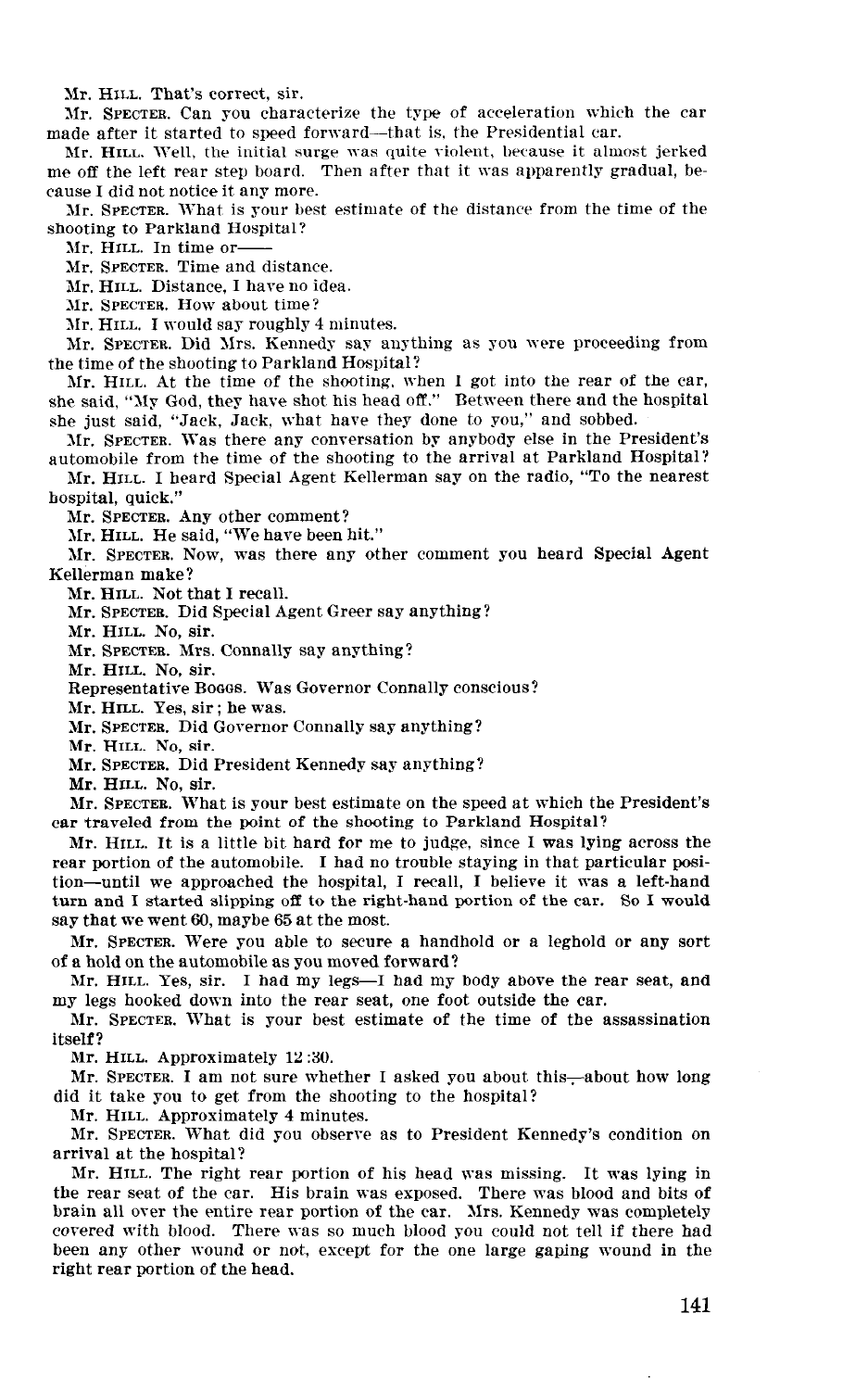Mr. HILL. That's correct, sir.

Mr. SPECTER. Can you characterize the type of acceleration which the car made after it started to speed forward--that is, the Presidential car.

Mr. HILL. Well, the initial surge was quite violent, because it almost jerked me off the left rear step board. Then after that it was apparently gradual, because I did not notice it any more.

Mr. SPECTER. What is your best estimate of the distance from the time of the shooting to Parkland Hospital?

Mr. HILL. In time or--

Mr. SPECTER. Time and distance.

Mr. HILL. Distance, I have no idea.

Mr. SPECTER. How about time?

Mr. HILL. I would say roughly 4 minutes.

Mr. SPECTER. Did Xrs. Kennedy say anything as you were proceeding from the time of the shooting to Parkland Hospital?

Mr. HILL. At the time of the shooting, when I got into the rear of the car, she said, "My God, they have shot his head off." Between there and the hospital she just said, "Jack, Jack, what have they done to you," and sobbed.

Mr. SPECTER. Was there any conversation by anybody else in the President's automobile from the time of the shooting to the arrival at Parkland Hospital?

Mr. HILL. I heard Special Agent Kellerman say on the radio, "To the nearest hospital, quick."

Mr. SPECTER. Any other comment?

Mr. HILL. He said, "We have been hit."

Mr. SPECTER. Now, was there any other comment you heard Special Agent Kellerman make?

Mr. HILL. Not that I recall.

Mr. SPECTER. Did Special Agent Greer say anything?

Mr. HILL. No, sir.

Mr. SPECTER. Mrs. Connally say anything?

Mr. HILL. No, sir.

Representative Boggs. Was Governor Connally conscious?

Mr. HILL. Yes, sir ; he was.

Mr. SPECTER. Did Governor Connally say anything?

Mr. HILL. No, sir.

Mr. SPECTER. Did President Kennedy say anything?

Mr. HILL. No, sir.

Mr. SPECTER. What is your best estimate on the speed at which the President's car traveled from the point of the shooting to Parkland Hospital? ear traveled from the point of the shooting to Parkland Hospital?<br>Mr. HILL. It is a little bit hard for me to judge, since I was lying across the

rear arrest to the automobile more staying the company state a man space were so to tion-portion-of-une adversion-until the hospital, I recall, I had not a left-hand, I believe it was a left-hand tion-until we approached the hospital, I recall, I believe it was a left-hand turn and I started slipping off to the right-hand portion of the car. So I would say that we went 60, maybe 65 at the most.

Mr. SPECTER. Were you able to secure a handhold or a leghold or any sort of an extreme were you more to secure w. of a hold on the automobile as you moved forward?

Mr. HILL. Yes, sir. I had my legs—I had my body above the rear seat, and my legs hooked down into the rear seat, one foot outside the car.

Mr. SPECTER. What is your best estimate of the time of the assassination itself? ment:

Mr. HILL. Approximately 12:30.

Mr. SPECTER. I am not sure whether I asked you about this—about how long did it take you to get from the shooting to the hospital?

Mr. HILL. Approximately 4 minutes.

Mr. SPECTER. What did you observe as to President Kennedy's condition on arrival at the hospital?

Mr. HILL. The right rear portion of his head was missing. It was lying in the rear seat of the car. His brain was exposed. There was blood and bits of brain all over the entire rear portion of the car. Mrs. Kennedy was completely covered with blood. There was so much blood you could not tell if there had been any other wound or not, except for the one large gaping wound in the right rear portion of the head.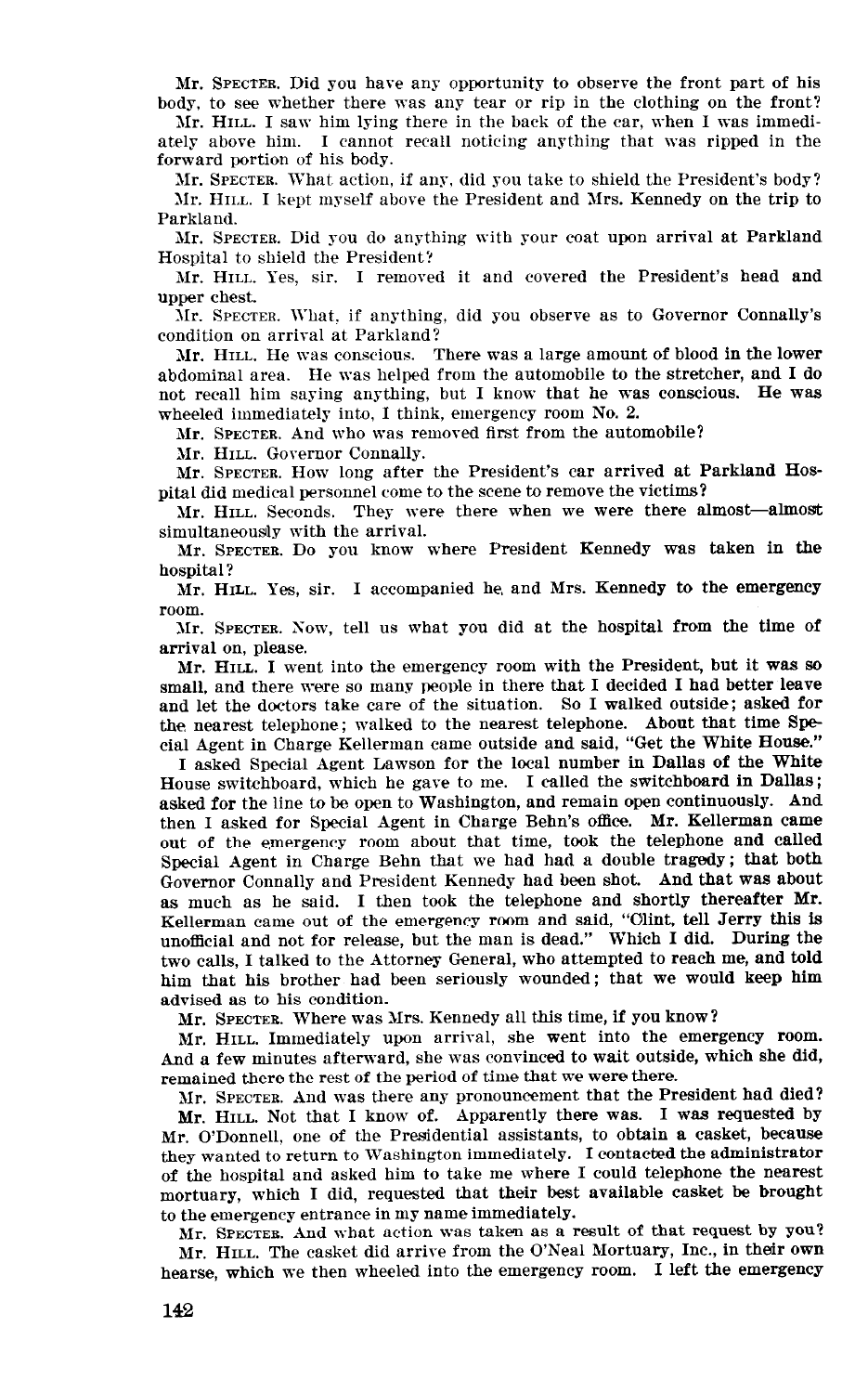Mr. SPECTER. Did you have any opportunity to observe the front part of his body, to see whether there was any tear or rip in the clothing on the front?

Mr. HILL. I saw him lying there in the back of the car, when I was immediately above him. I cannot recall noticing anything that was ripped in the forward portion of his body.

1Ir. SPECTER. What action, if any, did you take to shield the President's body? Mr. HII.L. I kept myself above the President and Mrs. Kennedy on the trip to Parkland.

Mr. SPECTER. Did you do anything with your coat upon arrival at Parkland Hospital to shield the President'!

Mr. HILL. Yes, sir. I removed it and covered the President's head and upper chest.

Mr. SPECTER. What, if anything, did you observe as to Governor Connally's condition on arrival at Parkland?

Mr. HILL. He was conscious. There was a large amount of blood in the lower abdominal area. He was helped from the automobile to the stretcher, and I do not recall him saying anything, but I know that he was conscious. He was wheeled immediately into, I think, emergency room No. 2.

Mr. SPECTER. And who was removed first from the automobile?

Mr. HILL. Governor Connally.

Mr. SPECTER. How long after the President's car arrived at Parkland HoSpita1 did medical personnel come to the scene to remove the victims?

Mr. HILL. Seconds. They were there when we were there almost-almost simultaneously with the arrival.

Mr. SPECTER. Do you know where President Kennedy was taken in the hospital ?

Mr. HILL. Yes, sir. I accompanied he, and Mrs. Kennedy to the emergency room.

Xr. SPECTER. Sow, tell Us what you did at the hospital from the time of arrival on, please.

Mr. HILL. I went into the emergency room with the President, but it WAS so small, and there were so many people in there that I decided I had better leave and let the doctors take care of the situation. So I walked outside; asked for the. nearest telephone; walked to the nearest telephone. About that time Special Agent in Charge Kellerman came outside and said, "Get the White House."

I asked Special Agent Lawson for the local number in Dallas of the White House switchboard, which he gave to me. I called the switchboard in Dallas; asked for the line to be open to Washington, and remain open continuously. And then I asked for Special Agent in Charge Behn's office. Mr. Kellerman came out of the emergency room about that time, took the telephone and called Special Agent in Charge Behn that we had had a double tragedy; that both Governor Connally and President Kennedy had been shot. And that was about as much as he said. I then took the telephone and shortly thereafter Mr. Kellerman came out of the emergency room and said, "Cilint, tell Jerry this is  $\frac{u_1}{u_1+1}$  and  $u_2$  for release, but the man is dead." Which I did. During the  $\alpha$  calls at the  $\alpha$  talked to the  $\alpha$  talked to the Attorney General, who and told two calls, I talked to the Attorney General, who attempted to reach me, and told<br>him that his brother had been seriously wounded; that we would keep him advised as to his condition.

Mr. SPECTER. Where was Mrs. Kennedy all this time, if you know?

Mr. HILL. Immediately Upon arrival, she went into the emergency room.  $\frac{1}{2}$  few minutes afterward, she was convinced to wait outside, which she did, remains the remainder the rest of time the period of the period of the period of the period of the period of the period of the period of the period of the period of the period of the period of the period of the period of  $M_{\rm H}$  spectrum and was the President that the President that the President had died?

 $M_{\rm H}$  . There were that I know  $M_{\rm H}$  and  $M_{\rm H}$  was requested by  $\frac{M}{\sqrt{2}}$  and  $\frac{M}{\sqrt{2}}$  assistants, to obtain a case of the Presidential assistants, to obtain a case of the case of the case of the case of the case of the case of the case of the case of the case of the case of th mit, O Donnen, one of the Freshchmar assistants, to obtain a casette, they wanted to return to Washington immediately. I contacted the administrator of the hospital and asked him to take me where I could telephone the nearest mortuary, which I did, requested that their best available casket be brought to the emergency entrance in my name immediately.

Mr. SPECTER. And what action was taken as a result of that request by you? Mr. HILL. The casket did arrive from the O'Neal Mortuary, Inc., in their own hearse, which we then wheeled into the emergency room. I left the emergency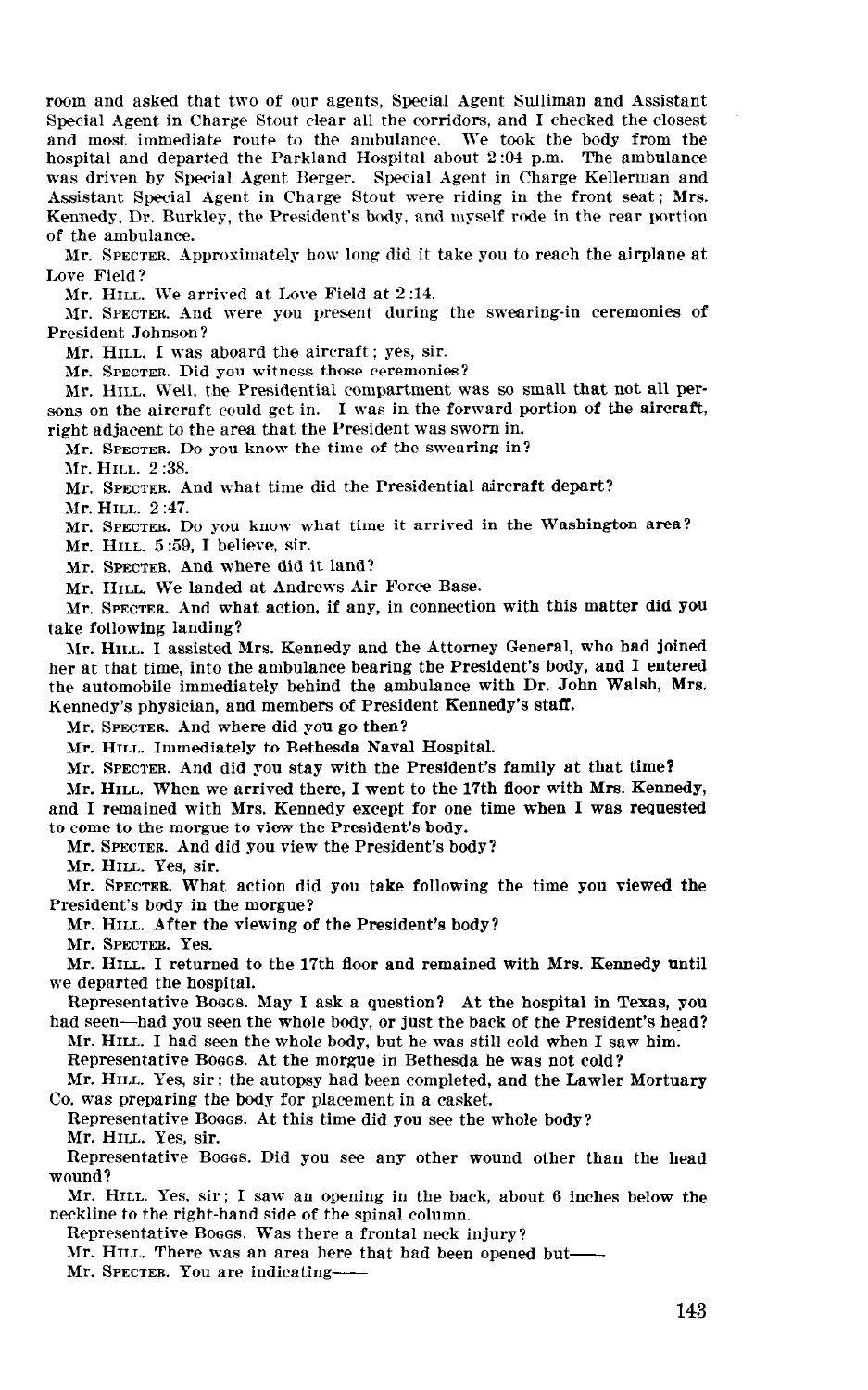room and asked that two of our agents, Special Agent Sulliman and Assistant Special Agent in Charge Stout clear all the corridors, and I checked the closest and most immediate route to the ambulance. We took the body from the hospital and departed the Parkland Hospital about 2:04 p.m. The ambulance was driven by Special Agent Rerger. Special Agent in Charge Kellerman and Assistant Special Agent in Charge Stout were riding in the front seat; Mrs. Kennedy, Dr. Burkley, the President's body, and myself rode in the rear portion of the ambulance.

Mr. SPECTER. Approximately how long did it take you to reach the airplane at Love Field?

Mr. HILL. We arrived at Lore Field at 2 :14.

Mr. SPECTER. And were you present during the swearing-in ceremonies of President Johnson?

Mr. HILL. I was aboard the aircraft: yes, sir.

Mr. SPECTER. Did you witness those ceremonies?

Mr. HILL. Well, the Presidential compartment was so small that not all persons on the aircraft could get in. I was in the forward portion of the aircraft, right adjacent to the area that the President was sworn in.

Mr. SPECTER. Do you know the time of the swearing in?

Mr. HILL. 2 :38.

Mr. SPECTER. And what time did the Presidential aircraft depart?

Mr. HILL. 2:47.

Mr. SPECTER. Do you know what time it arrived in the Washington area?

Mr. HILL. 5:59. I believe, sir.

Mr. SPECTEB. And where did it land?

Mr. HILL. We landed at Andrews Air Force Base.

Mr. SPECTER. And what action, if any, in connection with this matter did You take following landing?

Mr. HILL. I assisted Mrs. Kennedy and the Attorney General, who had joined her at that time, into the ambulance bearing the President's body, and I entered the automobile immediately behind the ambulance with Dr. John Walsh, Mrs. Kennedy's physician, and members of President Kennedy's staff.

Mr. SPECTER. And where did you go then?

Mr. HILL. Immediately to Bethesda Naval Hospital.

Mr. SPECTER. And did you stay with the President's family at that time?

 $\mathcal{M}$  . However, I we arrive the 17th floor with  $\mathcal{M}$  with  $\mathcal{M}$  with  $\mathcal{M}$  with  $\mathcal{M}$  with  $\mathcal{M}$  $\frac{1}{2}$  remains which we make the sense  $\frac{1}{2}$  we have the sense for  $\frac{1}{2}$  was requested. and I remained with Mrs. Kennedy except for one time when I was requested to come to the morgue to view the President's body.

 $\frac{1}{2}$  , and did  $\frac{1}{2}$  , and did  $\frac{1}{2}$  , and did  $\frac{1}{2}$  , and did  $\frac{1}{2}$  , and did  $\frac{1}{2}$  , and did  $\frac{1}{2}$  , and did  $\frac{1}{2}$  , and did  $\frac{1}{2}$  , and did  $\frac{1}{2}$  , and did  $\frac{1}{2}$  , and did

Mr. HILL. Yes, sir.

LMr. SPECTEB. What action did you take following the time you viewed the President's body in the morgue?  $\mathcal{L}$  . However, and the viewing of the President's body?

 $\cdots$  same. Inclu

 $M<sub>1</sub>$ . However the 17th floor and remained with Mrs. Kennedy until  $M<sub>1</sub>$  and  $M<sub>2</sub>$  and  $M<sub>3</sub>$  and  $M<sub>4</sub>$  and  $M<sub>5</sub>$  and  $M<sub>6</sub>$  and  $M<sub>7</sub>$  and  $M<sub>7</sub>$  and  $M<sub>7</sub>$  and  $M<sub>7</sub>$  and we departed the hospital.  $R_{\text{R}}$  is a group  $R_{\text{R}}$  and  $R_{\text{R}}$  and  $R_{\text{R}}$  is the hospital.

had seen the second seeds. The whole body, or the the president in realist, it had seen—had you seen the whole body, or just the back of the President's head? Mr. HILL. I had seen the whole body, but he was still cold when I saw him.

Representative Bosss. At the morgue in Bethesda he was not cold?

Mr. HILL. Yes, sir; the autopsy had been completed, and the Lawler Mortuary Co. was preparing the body for placement in a casket.

Representative Booos. At this time did you see the whole body? Mr. HILL. Yes, sir.

Representative Boggs. Did you see any other wound other than the head  $\mathcal{H}$  saw an opening in the back, about 6 inches below the back, about 6 inches below the back, about 6 inches below the back, about 6 inches below the back, about 6 inches below the back, about 6 inches below the back

Mr. HILL. Yes,  $\sin$ ; I saw an opening in the back, about 6 inches below the neckline to the right-hand side of the spinal column.

Representative Boggs. Was there a frontal neck injury?

Mr. HILL. There was an area here that had been opened but-

Mr. SPECTER. You are indicating-